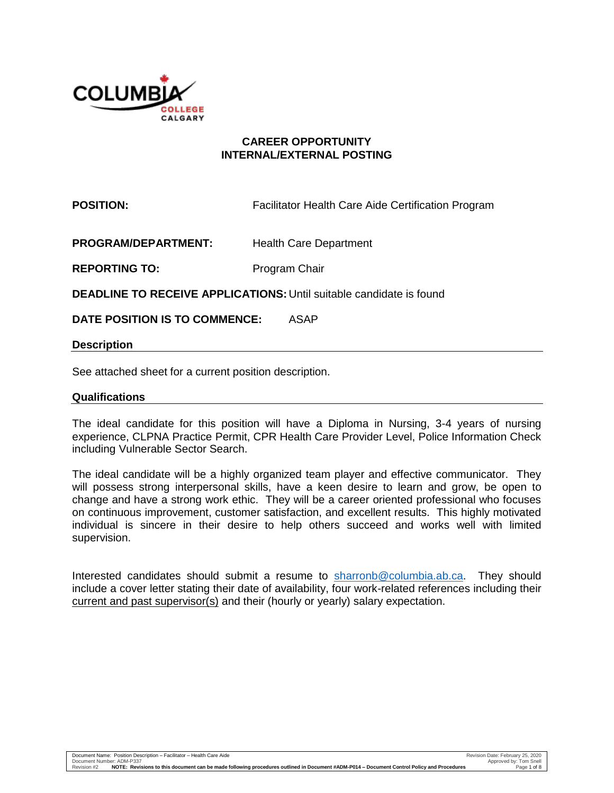

## **CAREER OPPORTUNITY INTERNAL/EXTERNAL POSTING**

**POSITION: Facilitator Health Care Aide Certification Program** 

**PROGRAM/DEPARTMENT:** Health Care Department

**REPORTING TO:** Program Chair

**DEADLINE TO RECEIVE APPLICATIONS:** Until suitable candidate is found

**DATE POSITION IS TO COMMENCE:** ASAP

#### **Description**

See attached sheet for a current position description.

#### **Qualifications**

The ideal candidate for this position will have a Diploma in Nursing, 3-4 years of nursing experience, CLPNA Practice Permit, CPR Health Care Provider Level, Police Information Check including Vulnerable Sector Search.

The ideal candidate will be a highly organized team player and effective communicator. They will possess strong interpersonal skills, have a keen desire to learn and grow, be open to change and have a strong work ethic. They will be a career oriented professional who focuses on continuous improvement, customer satisfaction, and excellent results. This highly motivated individual is sincere in their desire to help others succeed and works well with limited supervision.

Interested candidates should submit a resume to [sharronb@columbia.ab.ca.](mailto:sharronb@columbia.ab.ca) They should include a cover letter stating their date of availability, four work-related references including their current and past supervisor(s) and their (hourly or yearly) salary expectation.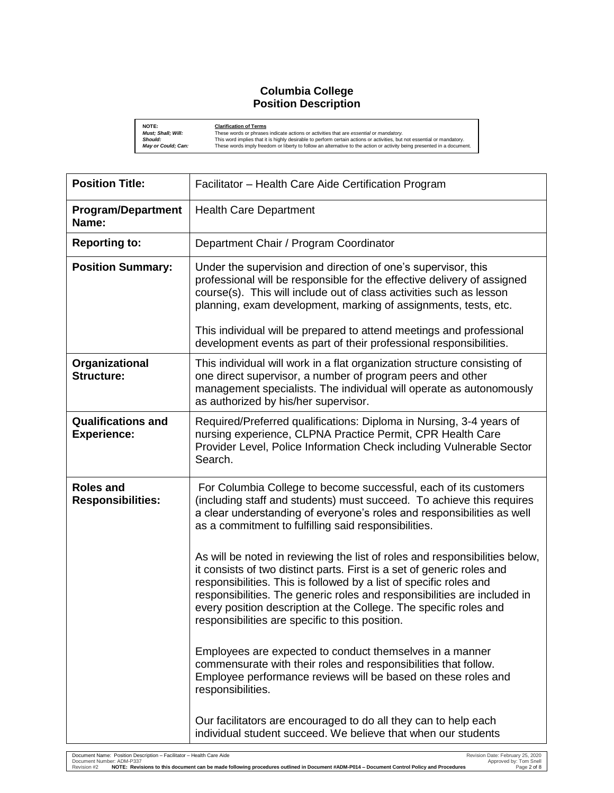## **Columbia College Position Description**

| NOTE:                     | <b>Clarification of Terms</b>                                                                                           |
|---------------------------|-------------------------------------------------------------------------------------------------------------------------|
| <b>Must: Shall: Will:</b> | These words or phrases indicate actions or activities that are essential or mandatory.                                  |
| <b>Should:</b>            | This word implies that it is highly desirable to perform certain actions or activities, but not essential or mandatory. |
| <b>May or Could: Can:</b> | These words imply freedom or liberty to follow an alternative to the action or activity being presented in a document.  |

| <b>Position Title:</b>                          | Facilitator - Health Care Aide Certification Program                                                                                                                                                                                                                                                                                                                                                                            |
|-------------------------------------------------|---------------------------------------------------------------------------------------------------------------------------------------------------------------------------------------------------------------------------------------------------------------------------------------------------------------------------------------------------------------------------------------------------------------------------------|
| <b>Program/Department</b><br>Name:              | <b>Health Care Department</b>                                                                                                                                                                                                                                                                                                                                                                                                   |
| <b>Reporting to:</b>                            | Department Chair / Program Coordinator                                                                                                                                                                                                                                                                                                                                                                                          |
| <b>Position Summary:</b>                        | Under the supervision and direction of one's supervisor, this<br>professional will be responsible for the effective delivery of assigned<br>course(s). This will include out of class activities such as lesson<br>planning, exam development, marking of assignments, tests, etc.                                                                                                                                              |
|                                                 | This individual will be prepared to attend meetings and professional<br>development events as part of their professional responsibilities.                                                                                                                                                                                                                                                                                      |
| Organizational<br><b>Structure:</b>             | This individual will work in a flat organization structure consisting of<br>one direct supervisor, a number of program peers and other<br>management specialists. The individual will operate as autonomously<br>as authorized by his/her supervisor.                                                                                                                                                                           |
| <b>Qualifications and</b><br><b>Experience:</b> | Required/Preferred qualifications: Diploma in Nursing, 3-4 years of<br>nursing experience, CLPNA Practice Permit, CPR Health Care<br>Provider Level, Police Information Check including Vulnerable Sector<br>Search.                                                                                                                                                                                                            |
| <b>Roles and</b><br><b>Responsibilities:</b>    | For Columbia College to become successful, each of its customers<br>(including staff and students) must succeed. To achieve this requires<br>a clear understanding of everyone's roles and responsibilities as well<br>as a commitment to fulfilling said responsibilities.                                                                                                                                                     |
|                                                 | As will be noted in reviewing the list of roles and responsibilities below,<br>it consists of two distinct parts. First is a set of generic roles and<br>responsibilities. This is followed by a list of specific roles and<br>responsibilities. The generic roles and responsibilities are included in<br>every position description at the College. The specific roles and<br>responsibilities are specific to this position. |
|                                                 | Employees are expected to conduct themselves in a manner<br>commensurate with their roles and responsibilities that follow.<br>Employee performance reviews will be based on these roles and<br>responsibilities.                                                                                                                                                                                                               |
|                                                 | Our facilitators are encouraged to do all they can to help each<br>individual student succeed. We believe that when our students                                                                                                                                                                                                                                                                                                |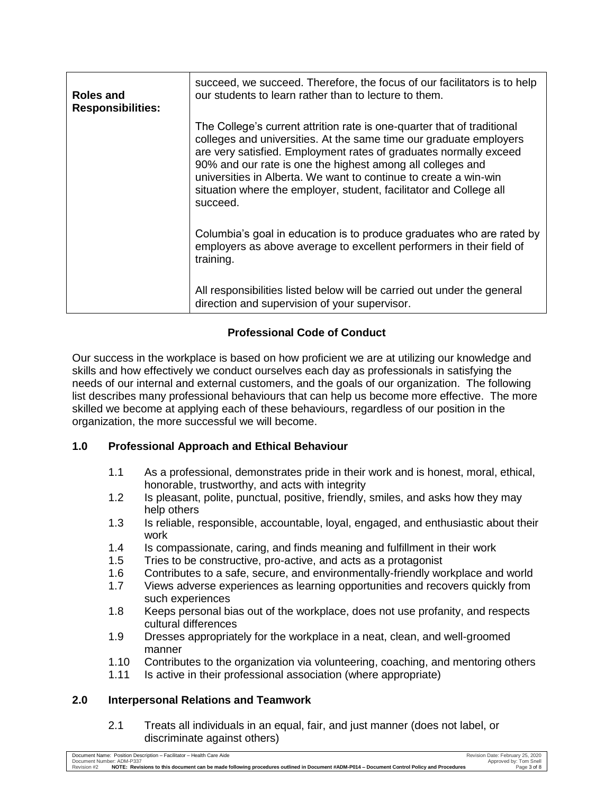| Roles and<br><b>Responsibilities:</b> | succeed, we succeed. Therefore, the focus of our facilitators is to help<br>our students to learn rather than to lecture to them.                                                                                                                                                                                                                                                                                                      |
|---------------------------------------|----------------------------------------------------------------------------------------------------------------------------------------------------------------------------------------------------------------------------------------------------------------------------------------------------------------------------------------------------------------------------------------------------------------------------------------|
|                                       | The College's current attrition rate is one-quarter that of traditional<br>colleges and universities. At the same time our graduate employers<br>are very satisfied. Employment rates of graduates normally exceed<br>90% and our rate is one the highest among all colleges and<br>universities in Alberta. We want to continue to create a win-win<br>situation where the employer, student, facilitator and College all<br>succeed. |
|                                       | Columbia's goal in education is to produce graduates who are rated by<br>employers as above average to excellent performers in their field of<br>training.                                                                                                                                                                                                                                                                             |
|                                       | All responsibilities listed below will be carried out under the general<br>direction and supervision of your supervisor.                                                                                                                                                                                                                                                                                                               |

# **Professional Code of Conduct**

Our success in the workplace is based on how proficient we are at utilizing our knowledge and skills and how effectively we conduct ourselves each day as professionals in satisfying the needs of our internal and external customers, and the goals of our organization. The following list describes many professional behaviours that can help us become more effective. The more skilled we become at applying each of these behaviours, regardless of our position in the organization, the more successful we will become.

# **1.0 Professional Approach and Ethical Behaviour**

- 1.1 As a professional, demonstrates pride in their work and is honest, moral, ethical, honorable, trustworthy, and acts with integrity
- 1.2 Is pleasant, polite, punctual, positive, friendly, smiles, and asks how they may help others
- 1.3 Is reliable, responsible, accountable, loyal, engaged, and enthusiastic about their work
- 1.4 Is compassionate, caring, and finds meaning and fulfillment in their work
- 1.5 Tries to be constructive, pro-active, and acts as a protagonist
- 1.6 Contributes to a safe, secure, and environmentally-friendly workplace and world
- 1.7 Views adverse experiences as learning opportunities and recovers quickly from such experiences
- 1.8 Keeps personal bias out of the workplace, does not use profanity, and respects cultural differences
- 1.9 Dresses appropriately for the workplace in a neat, clean, and well-groomed manner
- 1.10 Contributes to the organization via volunteering, coaching, and mentoring others
- 1.11 Is active in their professional association (where appropriate)

## **2.0 Interpersonal Relations and Teamwork**

2.1 Treats all individuals in an equal, fair, and just manner (does not label, or discriminate against others)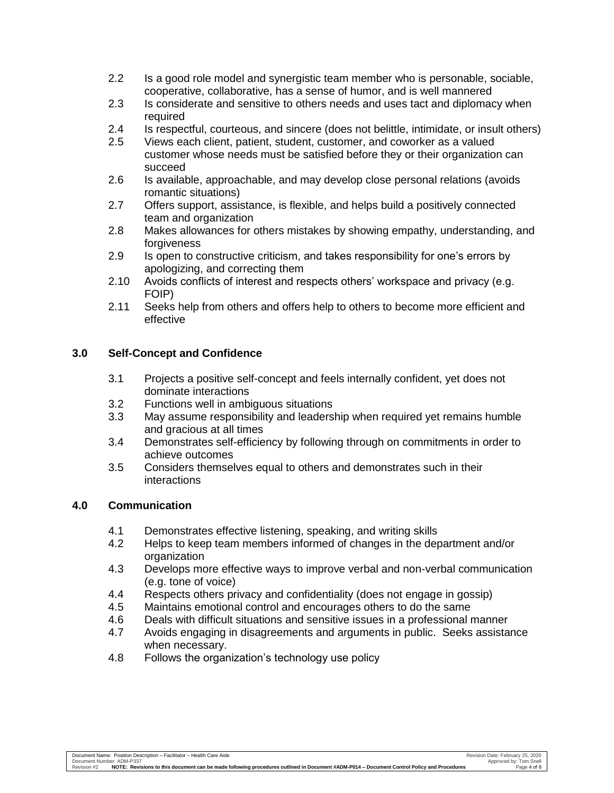- 2.2 Is a good role model and synergistic team member who is personable, sociable, cooperative, collaborative, has a sense of humor, and is well mannered
- 2.3 Is considerate and sensitive to others needs and uses tact and diplomacy when required
- 2.4 Is respectful, courteous, and sincere (does not belittle, intimidate, or insult others)
- 2.5 Views each client, patient, student, customer, and coworker as a valued customer whose needs must be satisfied before they or their organization can succeed
- 2.6 Is available, approachable, and may develop close personal relations (avoids romantic situations)
- 2.7 Offers support, assistance, is flexible, and helps build a positively connected team and organization
- 2.8 Makes allowances for others mistakes by showing empathy, understanding, and forgiveness
- 2.9 Is open to constructive criticism, and takes responsibility for one's errors by apologizing, and correcting them
- 2.10 Avoids conflicts of interest and respects others' workspace and privacy (e.g. FOIP)
- 2.11 Seeks help from others and offers help to others to become more efficient and effective

## **3.0 Self-Concept and Confidence**

- 3.1 Projects a positive self-concept and feels internally confident, yet does not dominate interactions
- 3.2 Functions well in ambiguous situations
- 3.3 May assume responsibility and leadership when required yet remains humble and gracious at all times
- 3.4 Demonstrates self-efficiency by following through on commitments in order to achieve outcomes
- 3.5 Considers themselves equal to others and demonstrates such in their interactions

#### **4.0 Communication**

- 4.1 Demonstrates effective listening, speaking, and writing skills
- 4.2 Helps to keep team members informed of changes in the department and/or organization
- 4.3 Develops more effective ways to improve verbal and non-verbal communication (e.g. tone of voice)
- 4.4 Respects others privacy and confidentiality (does not engage in gossip)
- 4.5 Maintains emotional control and encourages others to do the same
- 4.6 Deals with difficult situations and sensitive issues in a professional manner
- 4.7 Avoids engaging in disagreements and arguments in public. Seeks assistance when necessary.
- 4.8 Follows the organization's technology use policy

Document Name: Position Description – Facilitator – Health Care Aide<br>Document Number: ADM-P337 Tom Shell Shell Shell Shell Shell Shell Shell Shell Shell Shell Shell Shell Shell Sh<br>Revision #2 MOTE: Revis**ions to this docu**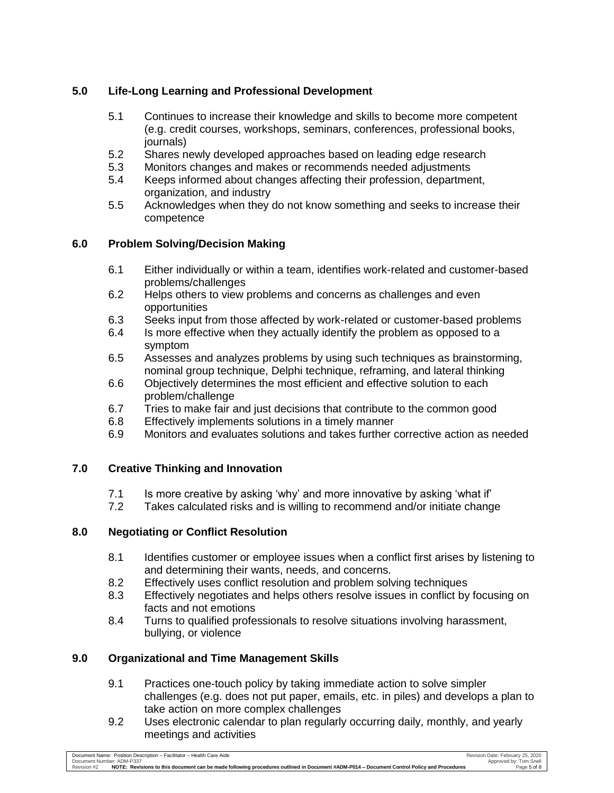# **5.0 Life-Long Learning and Professional Development**

- 5.1 Continues to increase their knowledge and skills to become more competent (e.g. credit courses, workshops, seminars, conferences, professional books, journals)
- 5.2 Shares newly developed approaches based on leading edge research
- 5.3 Monitors changes and makes or recommends needed adjustments
- 5.4 Keeps informed about changes affecting their profession, department, organization, and industry
- 5.5 Acknowledges when they do not know something and seeks to increase their competence

# **6.0 Problem Solving/Decision Making**

- 6.1 Either individually or within a team, identifies work-related and customer-based problems/challenges
- 6.2 Helps others to view problems and concerns as challenges and even opportunities
- 6.3 Seeks input from those affected by work-related or customer-based problems
- 6.4 Is more effective when they actually identify the problem as opposed to a symptom
- 6.5 Assesses and analyzes problems by using such techniques as brainstorming, nominal group technique, Delphi technique, reframing, and lateral thinking
- 6.6 Objectively determines the most efficient and effective solution to each problem/challenge
- 6.7 Tries to make fair and just decisions that contribute to the common good
- 6.8 Effectively implements solutions in a timely manner
- 6.9 Monitors and evaluates solutions and takes further corrective action as needed

# **7.0 Creative Thinking and Innovation**

- 7.1 Is more creative by asking 'why' and more innovative by asking 'what if'
- 7.2 Takes calculated risks and is willing to recommend and/or initiate change

# **8.0 Negotiating or Conflict Resolution**

- 8.1 Identifies customer or employee issues when a conflict first arises by listening to and determining their wants, needs, and concerns.
- 8.2 Effectively uses conflict resolution and problem solving techniques
- 8.3 Effectively negotiates and helps others resolve issues in conflict by focusing on facts and not emotions
- 8.4 Turns to qualified professionals to resolve situations involving harassment, bullying, or violence

# **9.0 Organizational and Time Management Skills**

- 9.1 Practices one-touch policy by taking immediate action to solve simpler challenges (e.g. does not put paper, emails, etc. in piles) and develops a plan to take action on more complex challenges
- 9.2 Uses electronic calendar to plan regularly occurring daily, monthly, and yearly meetings and activities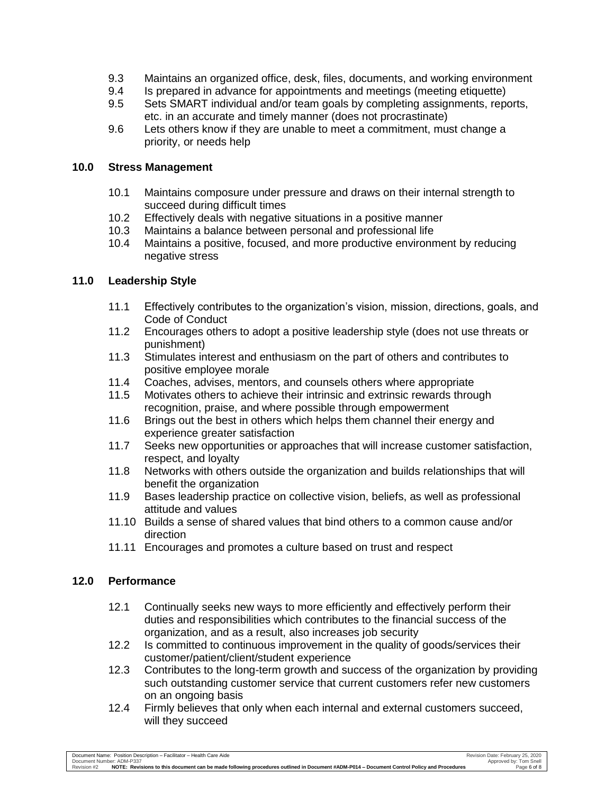- 9.3 Maintains an organized office, desk, files, documents, and working environment
- 9.4 Is prepared in advance for appointments and meetings (meeting etiquette)
- 9.5 Sets SMART individual and/or team goals by completing assignments, reports, etc. in an accurate and timely manner (does not procrastinate)
- 9.6 Lets others know if they are unable to meet a commitment, must change a priority, or needs help

#### **10.0 Stress Management**

- 10.1 Maintains composure under pressure and draws on their internal strength to succeed during difficult times
- 10.2 Effectively deals with negative situations in a positive manner
- 10.3 Maintains a balance between personal and professional life
- 10.4 Maintains a positive, focused, and more productive environment by reducing negative stress

#### **11.0 Leadership Style**

- 11.1 Effectively contributes to the organization's vision, mission, directions, goals, and Code of Conduct
- 11.2 Encourages others to adopt a positive leadership style (does not use threats or punishment)
- 11.3 Stimulates interest and enthusiasm on the part of others and contributes to positive employee morale
- 11.4 Coaches, advises, mentors, and counsels others where appropriate
- 11.5 Motivates others to achieve their intrinsic and extrinsic rewards through recognition, praise, and where possible through empowerment
- 11.6 Brings out the best in others which helps them channel their energy and experience greater satisfaction
- 11.7 Seeks new opportunities or approaches that will increase customer satisfaction, respect, and loyalty
- 11.8 Networks with others outside the organization and builds relationships that will benefit the organization
- 11.9 Bases leadership practice on collective vision, beliefs, as well as professional attitude and values
- 11.10 Builds a sense of shared values that bind others to a common cause and/or direction
- 11.11 Encourages and promotes a culture based on trust and respect

## **12.0 Performance**

- 12.1 Continually seeks new ways to more efficiently and effectively perform their duties and responsibilities which contributes to the financial success of the organization, and as a result, also increases job security
- 12.2 Is committed to continuous improvement in the quality of goods/services their customer/patient/client/student experience
- 12.3 Contributes to the long-term growth and success of the organization by providing such outstanding customer service that current customers refer new customers on an ongoing basis
- 12.4 Firmly believes that only when each internal and external customers succeed, will they succeed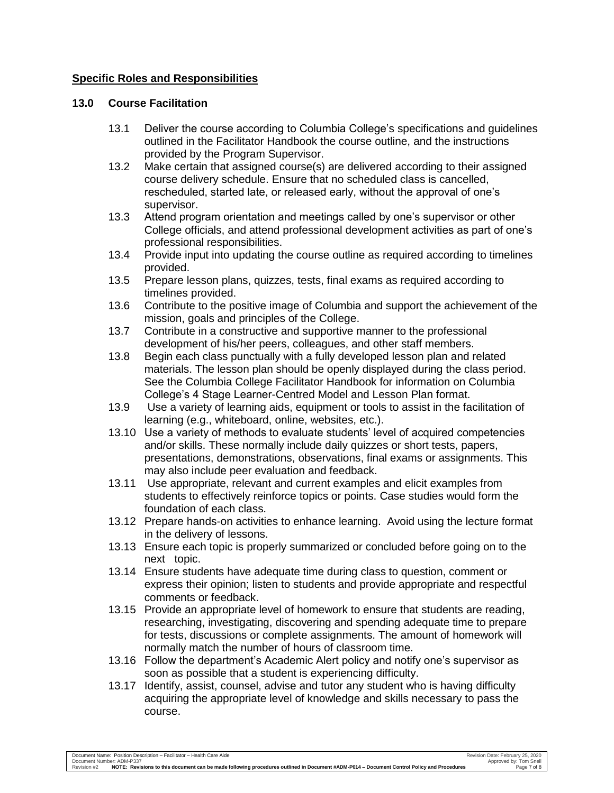## **Specific Roles and Responsibilities**

#### **13.0 Course Facilitation**

- 13.1 Deliver the course according to Columbia College's specifications and guidelines outlined in the Facilitator Handbook the course outline, and the instructions provided by the Program Supervisor.
- 13.2 Make certain that assigned course(s) are delivered according to their assigned course delivery schedule. Ensure that no scheduled class is cancelled, rescheduled, started late, or released early, without the approval of one's supervisor.
- 13.3 Attend program orientation and meetings called by one's supervisor or other College officials, and attend professional development activities as part of one's professional responsibilities.
- 13.4 Provide input into updating the course outline as required according to timelines provided.
- 13.5 Prepare lesson plans, quizzes, tests, final exams as required according to timelines provided.
- 13.6 Contribute to the positive image of Columbia and support the achievement of the mission, goals and principles of the College.
- 13.7 Contribute in a constructive and supportive manner to the professional development of his/her peers, colleagues, and other staff members.
- 13.8 Begin each class punctually with a fully developed lesson plan and related materials. The lesson plan should be openly displayed during the class period. See the Columbia College Facilitator Handbook for information on Columbia College's 4 Stage Learner-Centred Model and Lesson Plan format.
- 13.9 Use a variety of learning aids, equipment or tools to assist in the facilitation of learning (e.g., whiteboard, online, websites, etc.).
- 13.10 Use a variety of methods to evaluate students' level of acquired competencies and/or skills. These normally include daily quizzes or short tests, papers, presentations, demonstrations, observations, final exams or assignments. This may also include peer evaluation and feedback.
- 13.11 Use appropriate, relevant and current examples and elicit examples from students to effectively reinforce topics or points. Case studies would form the foundation of each class.
- 13.12 Prepare hands-on activities to enhance learning. Avoid using the lecture format in the delivery of lessons.
- 13.13 Ensure each topic is properly summarized or concluded before going on to the next topic.
- 13.14 Ensure students have adequate time during class to question, comment or express their opinion; listen to students and provide appropriate and respectful comments or feedback.
- 13.15 Provide an appropriate level of homework to ensure that students are reading, researching, investigating, discovering and spending adequate time to prepare for tests, discussions or complete assignments. The amount of homework will normally match the number of hours of classroom time.
- 13.16 Follow the department's Academic Alert policy and notify one's supervisor as soon as possible that a student is experiencing difficulty.
- 13.17 Identify, assist, counsel, advise and tutor any student who is having difficulty acquiring the appropriate level of knowledge and skills necessary to pass the course.

Document Name: Position Description – Facilitator – Health Care Aide<br>Document Number: ADM-P337 Den Booking Document Document Number: ADM-P014 – Document Document Number: ADM-P014<br>Revision #2